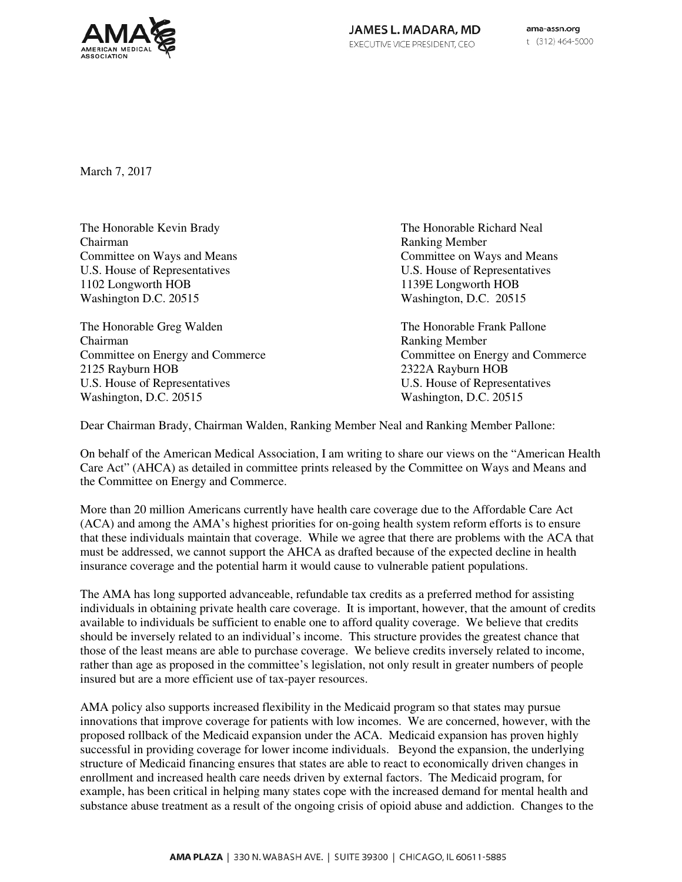

March 7, 2017

The Honorable Kevin Brady The Honorable Richard Neal Chairman Ranking Member Committee on Ways and Means Committee on Ways and Means Committee on Ways and Means U.S. House of Representatives U.S. House of Representatives U.S. House of Representatives<br>1102 Longworth HOB 1139E Longworth HOB Washington D.C. 20515 Washington, D.C. 20515

The Honorable Greg Walden The Honorable Frank Pallone Chairman **Ranking Member** Ranking Member 2125 Rayburn HOB 2322A Rayburn HOB U.S. House of Representatives<br>
Washington, D.C. 20515<br>
Washington, D.C. 20515

1102 Longworth HOB 1139E Longworth HOB

Committee on Energy and Commerce Committee on Energy and Commerce Washington, D.C. 20515

Dear Chairman Brady, Chairman Walden, Ranking Member Neal and Ranking Member Pallone:

On behalf of the American Medical Association, I am writing to share our views on the "American Health Care Act" (AHCA) as detailed in committee prints released by the Committee on Ways and Means and the Committee on Energy and Commerce.

More than 20 million Americans currently have health care coverage due to the Affordable Care Act (ACA) and among the AMA's highest priorities for on-going health system reform efforts is to ensure that these individuals maintain that coverage. While we agree that there are problems with the ACA that must be addressed, we cannot support the AHCA as drafted because of the expected decline in health insurance coverage and the potential harm it would cause to vulnerable patient populations.

The AMA has long supported advanceable, refundable tax credits as a preferred method for assisting individuals in obtaining private health care coverage. It is important, however, that the amount of credits available to individuals be sufficient to enable one to afford quality coverage. We believe that credits should be inversely related to an individual's income. This structure provides the greatest chance that those of the least means are able to purchase coverage. We believe credits inversely related to income, rather than age as proposed in the committee's legislation, not only result in greater numbers of people insured but are a more efficient use of tax-payer resources.

AMA policy also supports increased flexibility in the Medicaid program so that states may pursue innovations that improve coverage for patients with low incomes. We are concerned, however, with the proposed rollback of the Medicaid expansion under the ACA. Medicaid expansion has proven highly successful in providing coverage for lower income individuals. Beyond the expansion, the underlying structure of Medicaid financing ensures that states are able to react to economically driven changes in enrollment and increased health care needs driven by external factors. The Medicaid program, for example, has been critical in helping many states cope with the increased demand for mental health and substance abuse treatment as a result of the ongoing crisis of opioid abuse and addiction. Changes to the